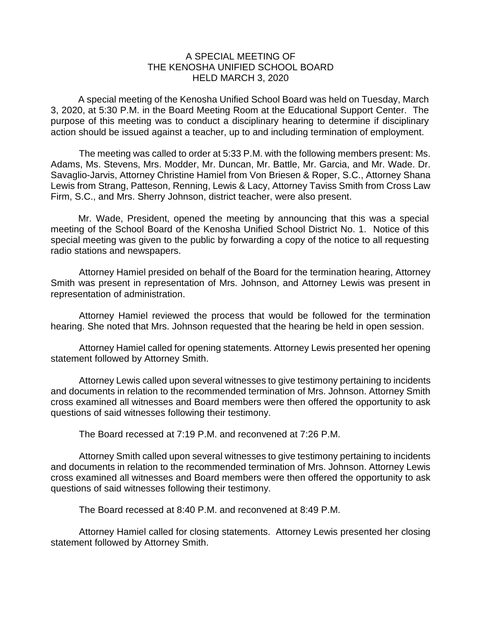## A SPECIAL MEETING OF THE KENOSHA UNIFIED SCHOOL BOARD HELD MARCH 3, 2020

A special meeting of the Kenosha Unified School Board was held on Tuesday, March 3, 2020, at 5:30 P.M. in the Board Meeting Room at the Educational Support Center. The purpose of this meeting was to conduct a disciplinary hearing to determine if disciplinary action should be issued against a teacher, up to and including termination of employment.

The meeting was called to order at 5:33 P.M. with the following members present: Ms. Adams, Ms. Stevens, Mrs. Modder, Mr. Duncan, Mr. Battle, Mr. Garcia, and Mr. Wade. Dr. Savaglio-Jarvis, Attorney Christine Hamiel from Von Briesen & Roper, S.C., Attorney Shana Lewis from Strang, Patteson, Renning, Lewis & Lacy, Attorney Taviss Smith from Cross Law Firm, S.C., and Mrs. Sherry Johnson, district teacher, were also present.

Mr. Wade, President, opened the meeting by announcing that this was a special meeting of the School Board of the Kenosha Unified School District No. 1. Notice of this special meeting was given to the public by forwarding a copy of the notice to all requesting radio stations and newspapers.

Attorney Hamiel presided on behalf of the Board for the termination hearing, Attorney Smith was present in representation of Mrs. Johnson, and Attorney Lewis was present in representation of administration.

Attorney Hamiel reviewed the process that would be followed for the termination hearing. She noted that Mrs. Johnson requested that the hearing be held in open session.

Attorney Hamiel called for opening statements. Attorney Lewis presented her opening statement followed by Attorney Smith.

Attorney Lewis called upon several witnesses to give testimony pertaining to incidents and documents in relation to the recommended termination of Mrs. Johnson. Attorney Smith cross examined all witnesses and Board members were then offered the opportunity to ask questions of said witnesses following their testimony.

The Board recessed at 7:19 P.M. and reconvened at 7:26 P.M.

Attorney Smith called upon several witnesses to give testimony pertaining to incidents and documents in relation to the recommended termination of Mrs. Johnson. Attorney Lewis cross examined all witnesses and Board members were then offered the opportunity to ask questions of said witnesses following their testimony.

The Board recessed at 8:40 P.M. and reconvened at 8:49 P.M.

Attorney Hamiel called for closing statements. Attorney Lewis presented her closing statement followed by Attorney Smith.